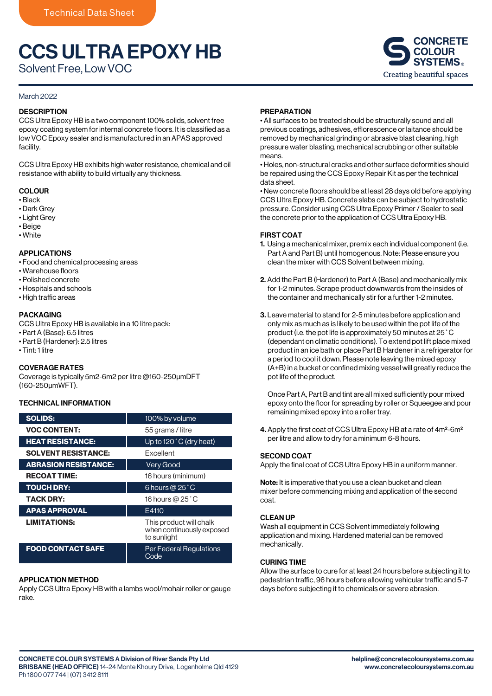# CCS ULTRA EPOXY HB

Solvent Free, Low VOC

# March 2022

### **DESCRIPTION**

CCS Ultra Epoxy HB is a two component 100% solids, solvent free epoxy coating system for internal concrete floors. It is classified as a low VOC Epoxy sealer and is manufactured in an APAS approved facility.

CCS Ultra Epoxy HB exhibits high water resistance, chemical and oil resistance with ability to build virtually any thickness.

## **COLOUR**

- Black
- Dark Grey
- Light Grey
- Beige • White

# APPLICATIONS

- Food and chemical processing areas
- Warehouse floors
- Polished concrete
- Hospitals and schools
- High traffic areas

#### PACKAGING

CCS Ultra Epoxy HB is available in a 10 litre pack:

- Part A (Base): 6.5 litres
- Part B (Hardener): 2.5 litres
- Tint: 1 litre

#### COVERAGE RATES

Coverage is typically 5m2-6m2 per litre @160-250μmDFT (160-250μmWFT).

### TECHNICAL INFORMATION

| <b>SOLIDS:</b>              | 100% by volume                                                      |
|-----------------------------|---------------------------------------------------------------------|
| <b>VOC CONTENT:</b>         | 55 grams / litre                                                    |
| <b>HEAT RESISTANCE:</b>     | Up to $120^{\circ}$ C (dry heat)                                    |
| <b>SOLVENT RESISTANCE:</b>  | <b>Fxcellent</b>                                                    |
| <b>ABRASION RESISTANCE:</b> | <b>Very Good</b>                                                    |
| <b>RECOAT TIME:</b>         | 16 hours (minimum)                                                  |
| <b>TOUCH DRY:</b>           | 6 hours @ $25^\circ$ C                                              |
| <b>TACK DRY:</b>            | 16 hours @ $25^\circ$ C                                             |
| <b>APAS APPROVAL</b>        | E4110                                                               |
| <b>LIMITATIONS:</b>         | This product will chalk<br>when continuously exposed<br>to sunlight |
| <b>FOOD CONTACT SAFE</b>    | <b>Per Federal Regulations</b><br>Code                              |

#### APPLICATION METHOD

Apply CCS Ultra Epoxy HB with a lambs wool/mohair roller or gauge rake.

### PREPARATION

• All surfaces to be treated should be structurally sound and all previous coatings, adhesives, efflorescence or laitance should be removed by mechanical grinding or abrasive blast cleaning, high pressure water blasting, mechanical scrubbing or other suitable means.

• Holes, non-structural cracks and other surface deformities should be repaired using the CCS Epoxy Repair Kit as per the technical data sheet.

• New concrete floors should be at least 28 days old before applying CCS Ultra Epoxy HB. Concrete slabs can be subject to hydrostatic pressure. Consider using CCS Ultra Epoxy Primer / Sealer to seal the concrete prior to the application of CCS Ultra Epoxy HB.

#### FIRST COAT

- 1. Using a mechanical mixer, premix each individual component (i.e. Part A and Part B) until homogenous. Note: Please ensure you clean the mixer with CCS Solvent between mixing.
- 2. Add the Part B (Hardener) to Part A (Base) and mechanically mix for 1-2 minutes. Scrape product downwards from the insides of the container and mechanically stir for a further 1-2 minutes.
- 3. Leave material to stand for 2-5 minutes before application and only mix as much as is likely to be used within the pot life of the product (i.e. the pot life is approximately 50 minutes at 25˚C (dependant on climatic conditions). To extend pot lift place mixed product in an ice bath or place Part B Hardener in a refrigerator for a period to cool it down. Please note leaving the mixed epoxy (A+B) in a bucket or confined mixing vessel will greatly reduce the pot life of the product.

Once Part A, Part B and tint are all mixed sufficiently pour mixed epoxy onto the floor for spreading by roller or Squeegee and pour remaining mixed epoxy into a roller tray.

4. Apply the first coat of CCS Ultra Epoxy HB at a rate of 4m<sup>2</sup>-6m<sup>2</sup> per litre and allow to dry for a minimum 6-8 hours.

#### SECOND COAT

Apply the final coat of CCS Ultra Epoxy HB in a uniform manner.

Note: It is imperative that you use a clean bucket and clean mixer before commencing mixing and application of the second coat.

#### CLEAN UP

Wash all equipment in CCS Solvent immediately following application and mixing. Hardened material can be removed mechanically.

#### CURING TIME

Allow the surface to cure for at least 24 hours before subjecting it to pedestrian traffic, 96 hours before allowing vehicular traffic and 5-7 days before subjecting it to chemicals or severe abrasion.